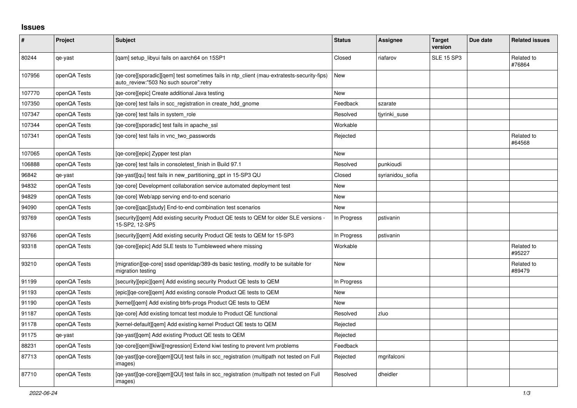## **Issues**

| #      | Project      | <b>Subject</b>                                                                                                                       | <b>Status</b> | Assignee         | <b>Target</b><br>version | Due date | <b>Related issues</b> |
|--------|--------------|--------------------------------------------------------------------------------------------------------------------------------------|---------------|------------------|--------------------------|----------|-----------------------|
| 80244  | qe-yast      | [qam] setup_libyui fails on aarch64 on 15SP1                                                                                         | Closed        | riafarov         | <b>SLE 15 SP3</b>        |          | Related to<br>#76864  |
| 107956 | openQA Tests | [qe-core][sporadic][qem] test sometimes fails in ntp_client (mau-extratests-security-fips)<br>auto review:"503 No such source":retry | New           |                  |                          |          |                       |
| 107770 | openQA Tests | [ge-core][epic] Create additional Java testing                                                                                       | New           |                  |                          |          |                       |
| 107350 | openQA Tests | [ge-core] test fails in scc registration in create hdd gnome                                                                         | Feedback      | szarate          |                          |          |                       |
| 107347 | openQA Tests | [ge-core] test fails in system role                                                                                                  | Resolved      | tjyrinki suse    |                          |          |                       |
| 107344 | openQA Tests | [ge-core][sporadic] test fails in apache ssl                                                                                         | Workable      |                  |                          |          |                       |
| 107341 | openQA Tests | [ge-core] test fails in vnc two passwords                                                                                            | Rejected      |                  |                          |          | Related to<br>#64568  |
| 107065 | openQA Tests | [ge-core][epic] Zypper test plan                                                                                                     | <b>New</b>    |                  |                          |          |                       |
| 106888 | openQA Tests | [ge-core] test fails in consoletest finish in Build 97.1                                                                             | Resolved      | punkioudi        |                          |          |                       |
| 96842  | qe-yast      | [ge-yast][gu] test fails in new partitioning gpt in 15-SP3 QU                                                                        | Closed        | syrianidou sofia |                          |          |                       |
| 94832  | openQA Tests | [ge-core] Development collaboration service automated deployment test                                                                | <b>New</b>    |                  |                          |          |                       |
| 94829  | openQA Tests | [qe-core] Web/app serving end-to-end scenario                                                                                        | <b>New</b>    |                  |                          |          |                       |
| 94090  | openQA Tests | [ge-core][gac][study] End-to-end combination test scenarios                                                                          | <b>New</b>    |                  |                          |          |                       |
| 93769  | openQA Tests | [security][qem] Add existing security Product QE tests to QEM for older SLE versions -<br>15-SP2, 12-SP5                             | In Progress   | pstivanin        |                          |          |                       |
| 93766  | openQA Tests | [security][qem] Add existing security Product QE tests to QEM for 15-SP3                                                             | In Progress   | pstivanin        |                          |          |                       |
| 93318  | openQA Tests | [ge-core][epic] Add SLE tests to Tumbleweed where missing                                                                            | Workable      |                  |                          |          | Related to<br>#95227  |
| 93210  | openQA Tests | [migration][qe-core] sssd openIdap/389-ds basic testing, modify to be suitable for<br>migration testing                              | <b>New</b>    |                  |                          |          | Related to<br>#89479  |
| 91199  | openQA Tests | [security][epic][qem] Add existing security Product QE tests to QEM                                                                  | In Progress   |                  |                          |          |                       |
| 91193  | openQA Tests | [epic][qe-core][qem] Add existing console Product QE tests to QEM                                                                    | New           |                  |                          |          |                       |
| 91190  | openQA Tests | [kernel][gem] Add existing btrfs-progs Product QE tests to QEM                                                                       | New           |                  |                          |          |                       |
| 91187  | openQA Tests | [qe-core] Add existing tomcat test module to Product QE functional                                                                   | Resolved      | zluo             |                          |          |                       |
| 91178  | openQA Tests | [kernel-default][qem] Add existing kernel Product QE tests to QEM                                                                    | Rejected      |                  |                          |          |                       |
| 91175  | qe-yast      | [qe-yast][qem] Add existing Product QE tests to QEM                                                                                  | Rejected      |                  |                          |          |                       |
| 88231  | openQA Tests | [qe-core][qem][kiwi][regression] Extend kiwi testing to prevent lvm problems                                                         | Feedback      |                  |                          |          |                       |
| 87713  | openQA Tests | [qe-yast][qe-core][qem][QU] test fails in scc_registration (multipath not tested on Full<br>images)                                  | Rejected      | mgrifalconi      |                          |          |                       |
| 87710  | openQA Tests | [qe-yast][qe-core][qem][QU] test fails in scc_registration (multipath not tested on Full<br>images)                                  | Resolved      | dheidler         |                          |          |                       |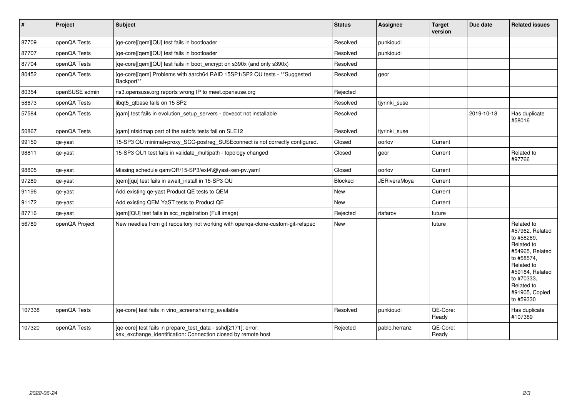| $\vert$ # | Project        | <b>Subject</b>                                                                                                                  | <b>Status</b> | Assignee            | <b>Target</b><br>version | Due date   | <b>Related issues</b>                                                                                                                                                                  |
|-----------|----------------|---------------------------------------------------------------------------------------------------------------------------------|---------------|---------------------|--------------------------|------------|----------------------------------------------------------------------------------------------------------------------------------------------------------------------------------------|
| 87709     | openQA Tests   | [qe-core][qem][QU] test fails in bootloader                                                                                     | Resolved      | punkioudi           |                          |            |                                                                                                                                                                                        |
| 87707     | openQA Tests   | [qe-core][qem][QU] test fails in bootloader                                                                                     | Resolved      | punkioudi           |                          |            |                                                                                                                                                                                        |
| 87704     | openQA Tests   | [qe-core][qem][QU] test fails in boot_encrypt on s390x (and only s390x)                                                         | Resolved      |                     |                          |            |                                                                                                                                                                                        |
| 80452     | openQA Tests   | [qe-core][qem] Problems with aarch64 RAID 15SP1/SP2 QU tests - **Suggested<br>Backport**                                        | Resolved      | geor                |                          |            |                                                                                                                                                                                        |
| 80354     | openSUSE admin | ns3.opensuse.org reports wrong IP to meet.opensuse.org                                                                          | Rejected      |                     |                          |            |                                                                                                                                                                                        |
| 58673     | openQA Tests   | libgt5 gtbase fails on 15 SP2                                                                                                   | Resolved      | tjyrinki_suse       |                          |            |                                                                                                                                                                                        |
| 57584     | openQA Tests   | [qam] test fails in evolution_setup_servers - dovecot not installable                                                           | Resolved      |                     |                          | 2019-10-18 | Has duplicate<br>#58016                                                                                                                                                                |
| 50867     | openQA Tests   | [qam] nfsidmap part of the autofs tests fail on SLE12                                                                           | Resolved      | tjyrinki_suse       |                          |            |                                                                                                                                                                                        |
| 99159     | qe-yast        | 15-SP3 QU minimal+proxy_SCC-postreg_SUSEconnect is not correctly configured.                                                    | Closed        | oorlov              | Current                  |            |                                                                                                                                                                                        |
| 98811     | qe-yast        | 15-SP3 QU1 test fails in validate_multipath - topology changed                                                                  | Closed        | geor                | Current                  |            | Related to<br>#97766                                                                                                                                                                   |
| 98805     | qe-yast        | Missing schedule qam/QR/15-SP3/ext4\@yast-xen-pv.yaml                                                                           | Closed        | oorlov              | Current                  |            |                                                                                                                                                                                        |
| 97289     | qe-yast        | [qem][qu] test fails in await_install in 15-SP3 QU                                                                              | Blocked       | <b>JERiveraMoya</b> | Current                  |            |                                                                                                                                                                                        |
| 91196     | qe-yast        | Add existing qe-yast Product QE tests to QEM                                                                                    | New           |                     | Current                  |            |                                                                                                                                                                                        |
| 91172     | qe-yast        | Add existing QEM YaST tests to Product QE                                                                                       | New           |                     | Current                  |            |                                                                                                                                                                                        |
| 87716     | qe-yast        | [qem][QU] test fails in scc_registration (Full image)                                                                           | Rejected      | riafarov            | future                   |            |                                                                                                                                                                                        |
| 56789     | openQA Project | New needles from git repository not working with openga-clone-custom-git-refspec                                                | New           |                     | future                   |            | Related to<br>#57962, Related<br>to #58289,<br>Related to<br>#54965, Related<br>to #58574,<br>Related to<br>#59184, Related<br>to #70333,<br>Related to<br>#91905, Copied<br>to #59330 |
| 107338    | openQA Tests   | [ge-core] test fails in vino screensharing available                                                                            | Resolved      | punkioudi           | QE-Core:<br>Ready        |            | Has duplicate<br>#107389                                                                                                                                                               |
| 107320    | openQA Tests   | [qe-core] test fails in prepare_test_data - sshd[2171]: error:<br>kex exchange identification: Connection closed by remote host | Rejected      | pablo.herranz       | QE-Core:<br>Ready        |            |                                                                                                                                                                                        |